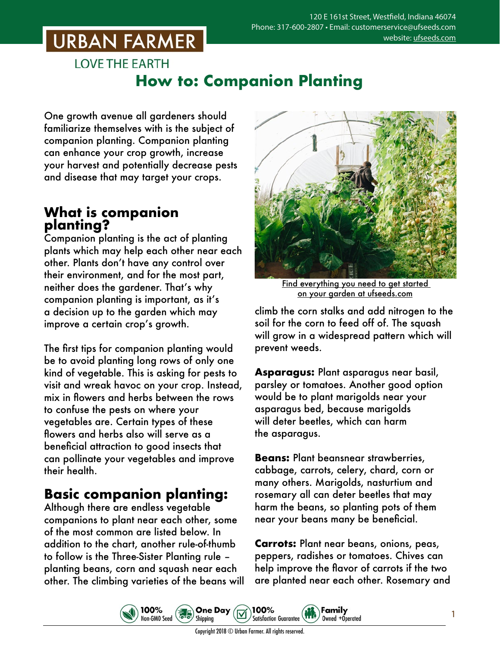## **URBAN FARMER**

**LOVE THE EARTH** 

### **How to: Companion Planting**

One growth avenue all gardeners should familiarize themselves with is the subject of companion planting. Companion planting can enhance your crop growth, increase your harvest and potentially decrease pests and disease that may target your crops.

#### **What is companion planting?**

Companion planting is the act of planting plants which may help each other near each other. Plants don't have any control over their environment, and for the most part, neither does the gardener. That's why companion planting is important, as it's a decision up to the garden which may improve a certain crop's growth.

The first tips for companion planting would be to avoid planting long rows of only one kind of vegetable. This is asking for pests to visit and wreak havoc on your crop. Instead, mix in flowers and herbs between the rows to confuse the pests on where your vegetables are. Certain types of these flowers and herbs also will serve as a beneficial attraction to good insects that can pollinate your vegetables and improve their health.

### **Basic companion planting:**

Although there are endless vegetable companions to plant near each other, some of the most common are listed below. In addition to the chart, another rule-of-thumb to follow is the Three-Sister Planting rule – planting beans, corn and squash near each other. The climbing varieties of the beans will

100%

Non-GMO Seed



Find everything you need to get started on your garden [at ufseeds.com](http://ufseeds.com)

climb the corn stalks and add nitrogen to the soil for the corn to feed off of. The squash will grow in a widespread pattern which will prevent weeds.

**Asparagus:** Plant asparagus near basil, parsley or tomatoes. Another good option would be to plant marigolds near your asparagus bed, because marigolds will deter beetles, which can harm the asparagus.

**Beans:** Plant beansnear strawberries, cabbage, carrots, celery, chard, corn or many others. Marigolds, nasturtium and rosemary all can deter beetles that may harm the beans, so planting pots of them near your beans many be beneficial.

**Carrots:** Plant near beans, onions, peas, peppers, radishes or tomatoes. Chives can help improve the flavor of carrots if the two are planted near each other. Rosemary and

Family

Owned +Operated

1

Copyright 2018 © Urban Farmer. All rights reserved.

**One Day** 

Shipping

 $\left(\mathbf{5.5}\right)$ 

100%

**Satisfaction Guarantee**